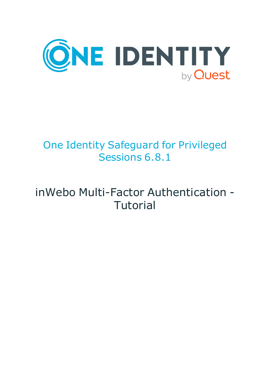

# One Identity Safeguard for Privileged Sessions 6.8.1

# inWebo Multi-Factor Authentication - **Tutorial**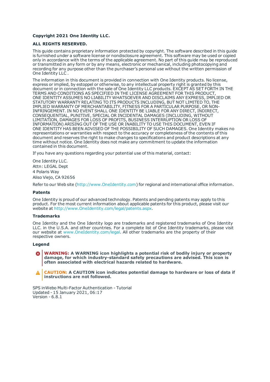### **Copyright 2021 One Identity LLC.**

#### **ALL RIGHTS RESERVED.**

This guide contains proprietary information protected by copyright. The software described in this guide is furnished under a software license or nondisclosure agreement. This software may be used or copied only in accordance with the terms of the applicable agreement. No part of this guide may be reproduced or transmitted in any form or by any means, electronic or mechanical, including photocopying and recording for any purpose other than the purchaser's personal use without the written permission of One Identity LLC .

The information in this document is provided in connection with One Identity products. No license, express or implied, by estoppel or otherwise, to any intellectual property right is granted by this document or in connection with the sale of One Identity LLC products. EXCEPT AS SET FORTH IN THE TERMS AND CONDITIONS AS SPECIFIED IN THE LICENSE AGREEMENT FOR THIS PRODUCT, ONE IDENTITY ASSUMES NO LIABILITY WHATSOEVER AND DISCLAIMS ANY EXPRESS, IMPLIED OR STATUTORY WARRANTY RELATING TO ITS PRODUCTS INCLUDING, BUT NOT LIMITED TO, THE IMPLIED WARRANTY OF MERCHANTABILITY, FITNESS FOR A PARTICULAR PURPOSE, OR NON-INFRINGEMENT. IN NO EVENT SHALL ONE IDENTITY BE LIABLE FOR ANY DIRECT, INDIRECT, CONSEQUENTIAL, PUNITIVE, SPECIAL OR INCIDENTAL DAMAGES (INCLUDING, WITHOUT LIMITATION, DAMAGES FOR LOSS OF PROFITS, BUSINESS INTERRUPTION OR LOSS OF INFORMATION) ARISING OUT OF THE USE OR INABILITY TO USE THIS DOCUMENT, EVEN IF ONE IDENTITY HAS BEEN ADVISED OF THE POSSIBILITY OF SUCH DAMAGES. One Identity makes no representations or warranties with respect to the accuracy or completeness of the contents of this document and reserves the right to make changes to specifications and product descriptions at any time without notice. One Identity does not make any commitment to update the information contained in this document.

If you have any questions regarding your potential use of this material, contact:

One Identity LLC. Attn: LEGAL Dept 4 Polaris Way Aliso Viejo, CA 92656

Refer to our Web site ([http://www.OneIdentity.com](http://www.oneidentity.com/)) for regional and international office information.

#### **Patents**

One Identity is proud of our advanced technology. Patents and pending patents may apply to this product. For the most current information about applicable patents for this product, please visit our website at [http://www.OneIdentity.com/legal/patents.aspx](http://www.oneidentity.com/legal/patents.aspx).

#### **Trademarks**

One Identity and the One Identity logo are trademarks and registered trademarks of One Identity LLC. in the U.S.A. and other countries. For a complete list of One Identity trademarks, please visit our website at [www.OneIdentity.com/legal](http://www.oneidentity.com/legal). All other trademarks are the property of their respective owners.

#### **Legend**

**WARNING: A WARNING icon highlights a potential risk of bodily injury or property damage, for which industry-standard safety precautions are advised. This icon is often associated with electrical hazards related to hardware.**

**CAUTION: A CAUTION icon indicates potential damage to hardware or loss of data if** A **instructions are not followed.**

SPS inWebo Multi-Factor Authentication - Tutorial Updated - 15 January 2021, 06:17 Version - 6.8.1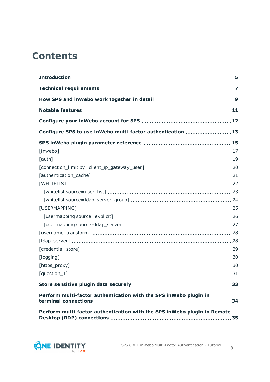## **Contents**

| Configure SPS to use inWebo multi-factor authentication 13               |    |
|--------------------------------------------------------------------------|----|
|                                                                          |    |
|                                                                          |    |
|                                                                          |    |
|                                                                          |    |
|                                                                          |    |
|                                                                          |    |
|                                                                          |    |
|                                                                          |    |
|                                                                          |    |
|                                                                          |    |
|                                                                          |    |
|                                                                          |    |
|                                                                          |    |
|                                                                          |    |
|                                                                          |    |
|                                                                          |    |
|                                                                          |    |
|                                                                          |    |
| Perform multi-factor authentication with the SPS inWebo plugin in        |    |
| Perform multi-factor authentication with the SPS inWebo plugin in Remote | 35 |

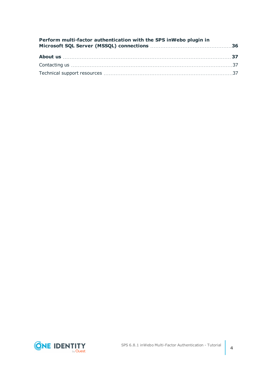| Perform multi-factor authentication with the SPS inWebo plugin in |  |
|-------------------------------------------------------------------|--|
|                                                                   |  |
|                                                                   |  |
|                                                                   |  |

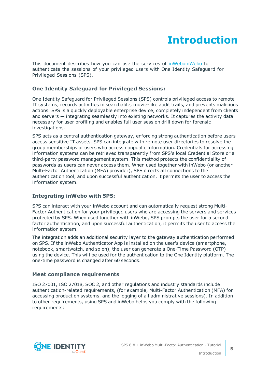# **Introduction**

<span id="page-4-0"></span>This document describes how you can use the services of [inWeboinWebo](https://www.inwebo.com/) to authenticate the sessions of your privileged users with One Identity Safeguard for Privileged Sessions (SPS).

### **One Identity Safeguard for Privileged Sessions:**

One Identity Safeguard for Privileged Sessions (SPS) controls privileged access to remote IT systems, records activities in searchable, movie-like audit trails, and prevents malicious actions. SPS is a quickly deployable enterprise device, completely independent from clients and servers — integrating seamlessly into existing networks. It captures the activity data necessary for user profiling and enables full user session drill down for forensic investigations.

SPS acts as a central authentication gateway, enforcing strong authentication before users access sensitive IT assets. SPS can integrate with remote user directories to resolve the group memberships of users who access nonpublic information. Credentials for accessing information systems can be retrieved transparently from SPS's local Credential Store or a third-party password management system. This method protects the confidentiality of passwords as users can never access them. When used together with inWebo (or another Multi-Factor Authentication (MFA) provider), SPS directs all connections to the authentication tool, and upon successful authentication, it permits the user to access the information system.

### **Integrating inWebo with SPS:**

SPS can interact with your inWebo account and can automatically request strong Multi-Factor Authentication for your privileged users who are accessing the servers and services protected by SPS. When used together with inWebo, SPS prompts the user for a second factor authentication, and upon successful authentication, it permits the user to access the information system.

The integration adds an additional security layer to the gateway authentication performed on SPS. If the inWebo Authenticator App is installed on the user's device (smartphone, notebook, smartwatch, and so on), the user can generate a One-Time Password (OTP) using the device. This will be used for the authentication to the One Identity platform. The one-time password is changed after 60 seconds.

### **Meet compliance requirements**

ISO 27001, ISO 27018, SOC 2, and other regulations and industry standards include authentication-related requirements, (for example, Multi-Factor Authentication (MFA) for accessing production systems, and the logging of all administrative sessions). In addition to other requirements, using SPS and inWebo helps you comply with the following requirements:

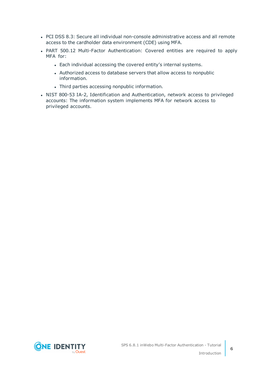- PCI DSS 8.3: Secure all individual non-console administrative access and all remote access to the cardholder data environment (CDE) using MFA.
- PART 500.12 Multi-Factor Authentication: Covered entities are required to apply MFA for:
	- Each individual accessing the covered entity's internal systems.
	- Authorized access to database servers that allow access to nonpublic information.
	- Third parties accessing nonpublic information.
- NIST 800-53 IA-2, Identification and Authentication, network access to privileged accounts: The information system implements MFA for network access to privileged accounts.

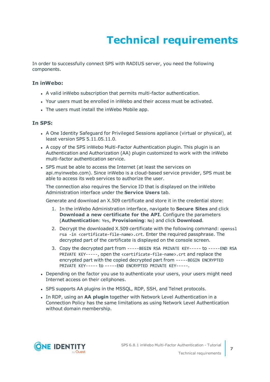# **Technical requirements**

<span id="page-6-0"></span>In order to successfully connect SPS with RADIUS server, you need the following components.

### **In inWebo:**

- A valid inWebo subscription that permits multi-factor authentication.
- Your users must be enrolled in inWebo and their access must be activated.
- The users must install the inWebo Mobile app.

### **In SPS:**

- A One Identity Safeguard for Privileged Sessions appliance (virtual or physical), at least version SPS 5.11.05.11.0.
- A copy of the SPS inWebo Multi-Factor Authentication plugin. This plugin is an Authentication and Authorization (AA) plugin customized to work with the inWebo multi-factor authentication service.
- SPS must be able to access the Internet (at least the services on api.myinwebo.com). Since inWebo is a cloud-based service provider, SPS must be able to access its web services to authorize the user.

The connection also requires the Service ID that is displayed on the inWebo Administration interface under the **Service Users** tab.

Generate and download an X.509 certificate and store it in the credential store:

- 1. In the inWebo Administration interface, navigate to **Secure Sites** and click **Download a new certificate for the API**. Configure the parameters (**Authentication**: Yes, **Provisioning**: No) and click **Download**.
- 2. Decrypt the downloaded X.509 certificate with the following command: openssl rsa -in <certificate-file-name>.crt. Enter the required passphrase. The decrypted part of the certificate is displayed on the console screen.
- 3. Copy the decrypted part from -----BEGIN RSA PRIVATE KEY----- to -----END RSA PRIVATE KEY-----, open the <certificate-file-name>.crt and replace the encrypted part with the copied decrypted part from -----BEGIN ENCRYPTED PRIVATE KEY----- to -----END ENCRYPTED PRIVATE KEY-----.
- Depending on the factor you use to authenticate your users, your users might need Internet access on their cellphones.
- SPS supports AA plugins in the MSSQL, RDP, SSH, and Telnet protocols.
- **.** In RDP, using an AA plugin together with Network Level Authentication in a Connection Policy has the same limitations as using Network Level Authentication without domain membership.

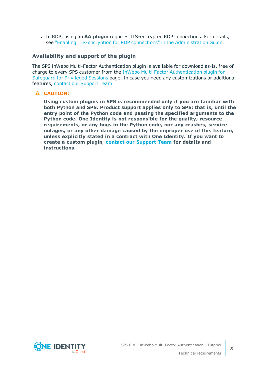**In RDP, using an AA plugin requires TLS-encrypted RDP connections. For details,** see "Enabling [TLS-encryption](https://support.oneidentity.com/technical-documents/safeguard-for-privileged-sessions/6.8.1/administration-guide/rdp-specific-settings/enabling-tls-encryption-for-rdp-connections/) for RDP connections" in the Administration Guide.

### **Availability and support of the plugin**

The SPS inWebo Multi-Factor Authentication plugin is available for download as-is, free of charge to every SPS customer from the InWebo Multi-Factor [Authentication](https://github.com/OneIdentity/safeguard-sessions-plugin-inwebo-mfa/releases) plugin for [Safeguard](https://github.com/OneIdentity/safeguard-sessions-plugin-inwebo-mfa/releases) for Privileged Sessions page. In case you need any customizations or additional features, contact our [Support](https://support.oneidentity.com/one-identity-safeguard-for-privileged-sessions) Team.

### **A** CAUTION:

**Using custom plugins in SPS is recommended only if you are familiar with both Python and SPS. Product support applies only to SPS: that is, until the entry point of the Python code and passing the specified arguments to the Python code. One Identity is not responsible for the quality, resource requirements, or any bugs in the Python code, nor any crashes, service outages, or any other damage caused by the improper use of this feature, unless explicitly stated in a contract with One Identity. If you want to create a custom plugin, contact our [Support](https://support.oneidentity.com/one-identity-safeguard-for-privileged-sessions) Team for details and instructions.**

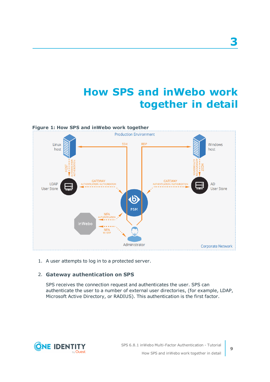# **How SPS and inWebo work together in detail**

<span id="page-8-0"></span>

1. A user attempts to log in to a protected server.

### 2. **Gateway authentication on SPS**

SPS receives the connection request and authenticates the user. SPS can authenticate the user to a number of external user directories, (for example, LDAP, Microsoft Active Directory, or RADIUS). This authentication is the first factor.

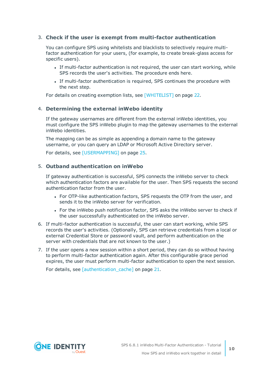### 3. **Check if the user is exempt from multi-factor authentication**

You can configure SPS using whitelists and blacklists to selectively require multifactor authentication for your users, (for example, to create break-glass access for specific users).

- If multi-factor authentication is not required, the user can start working, while SPS records the user's activities. The procedure ends here.
- If multi-factor authentication is required, SPS continues the procedure with the next step.

For details on creating exemption lists, see [\[WHITELIST\]](#page-21-0) on page 22.

### 4. **Determining the external inWebo identity**

If the gateway usernames are different from the external inWebo identities, you must configure the SPS inWebo plugin to map the gateway usernames to the external inWebo identities.

The mapping can be as simple as appending a domain name to the gateway username, or you can query an LDAP or Microsoft Active Directory server.

For details, see [\[USERMAPPING\]](#page-24-0) on page 25.

### 5. **Outband authentication on inWebo**

If gateway authentication is successful, SPS connects the inWebo server to check which authentication factors are available for the user. Then SPS requests the second authentication factor from the user.

- For OTP-like authentication factors, SPS requests the OTP from the user, and sends it to the inWebo server for verification.
- For the inWebo push notification factor, SPS asks the inWebo server to check if the user successfully authenticated on the inWebo server.
- 6. If multi-factor authentication is successful, the user can start working, while SPS records the user's activities. (Optionally, SPS can retrieve credentials from a local or external Credential Store or password vault, and perform authentication on the server with credentials that are not known to the user.)
- 7. If the user opens a new session within a short period, they can do so without having to perform multi-factor authentication again. After this configurable grace period expires, the user must perform multi-factor authentication to open the next session.

For details, see [\[authentication\\_cache\]](#page-20-0) on page 21.

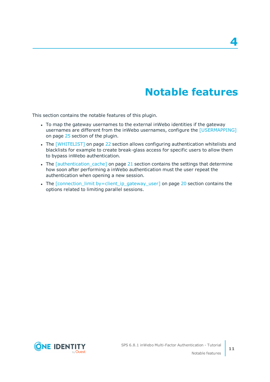## **Notable features**

<span id="page-10-0"></span>This section contains the notable features of this plugin.

- To map the gateway usernames to the external inWebo identities if the gateway usernames are different from the inWebo usernames, configure the [\[USERMAPPING\]](#page-24-0) on [page](#page-24-0) 25 section of the plugin.
- The [\[WHITELIST\]](#page-21-0) on page 22 section allows configuring authentication whitelists and blacklists for example to create break-glass access for specific users to allow them to bypass inWebo authentication.
- The *[authentication cache]* on page 21 section contains the settings that determine how soon after performing a inWebo authentication must the user repeat the authentication when opening a new session.
- The [connection\_limit [by=client\\_ip\\_gateway\\_user\]](#page-19-0) on page 20 section contains the options related to limiting parallel sessions.

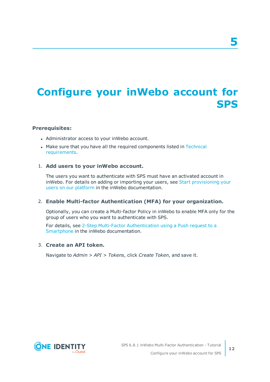# <span id="page-11-0"></span>**Configure your inWebo account for SPS**

### **Prerequisites:**

- Administrator access to your inWebo account.
- Make sure that you have all the required components listed in [Technical](#page-6-0) [requirements](#page-6-0).

### 1. **Add users to your inWebo account.**

The users you want to authenticate with SPS must have an activated account in inWebo. For details on adding or importing your users, see Start [provisioning](https://inwebo.atlassian.net/wiki/spaces/DOCS/pages/1686723/Getting+Started+with+inWebo#GettingStartedwithinWebo-Startprovisioningyourusersonourplatform) your users on our [platform](https://inwebo.atlassian.net/wiki/spaces/DOCS/pages/1686723/Getting+Started+with+inWebo#GettingStartedwithinWebo-Startprovisioningyourusersonourplatform) in the inWebo documentation.

### 2. **Enable Multi-factor Authentication (MFA) for your organization.**

Optionally, you can create a Multi-factor Policy in inWebo to enable MFA only for the group of users who you want to authenticate with SPS.

For details, see 2-Step Multi-Factor [Authentication](https://inwebo.atlassian.net/wiki/spaces/DOCS/pages/1698037/Authentication) using a Push request to a [Smartphone](https://inwebo.atlassian.net/wiki/spaces/DOCS/pages/1698037/Authentication) in the inWebo documentation.

### 3. **Create an API token.**

Navigate to *Admin > API > Tokens*, click *Create Token*, and save it.

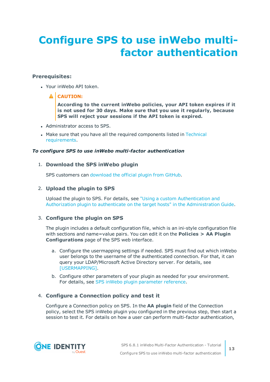# <span id="page-12-0"></span>**Configure SPS to use inWebo multifactor authentication**

### **Prerequisites:**

• Your inWebo API token.

### **A** CAUTION:

**According to the current inWebo policies, your API token expires if it is not used for 30 days. Make sure that you use it regularly, because SPS will reject your sessions if the API token is expired.**

- Administrator access to SPS.
- Make sure that you have all the required components listed in [Technical](#page-6-0) [requirements](#page-6-0).

### *To configure SPS to use inWebo multi-factor authentication*

### 1. **Download the SPS inWebo plugin**

SPS customers can [download](https://github.com/OneIdentity/safeguard-sessions-plugin-inwebo-mfa/releases) the official plugin from GitHub.

### 2. **Upload the plugin to SPS**

Upload the plugin to SPS. For details, see "Using a custom [Authentication](https://support.oneidentity.com/technical-documents/safeguard-for-privileged-sessions/6.8.1/administration-guide/advanced-authentication-and-authorization-techniques/integrating-external-authentication-and-authorization-systems/using-a-custom-authentication-and-authorization-plugin-to-authenticate-on-the-target-hosts/) and Authorization plugin to authenticate on the target hosts" in the [Administration](https://support.oneidentity.com/technical-documents/safeguard-for-privileged-sessions/6.8.1/administration-guide/advanced-authentication-and-authorization-techniques/integrating-external-authentication-and-authorization-systems/using-a-custom-authentication-and-authorization-plugin-to-authenticate-on-the-target-hosts/) Guide.

### 3. **Configure the plugin on SPS**

The plugin includes a default configuration file, which is an ini-style configuration file with sections and name=value pairs. You can edit it on the **Policies > AA Plugin Configurations** page of the SPS web interface.

- a. Configure the usermapping settings if needed. SPS must find out which inWebo user belongs to the username of the authenticated connection. For that, it can query your LDAP/Microsoft Active Directory server. For details, see [\[USERMAPPING\].](#page-24-0)
- b. Configure other parameters of your plugin as needed for your environment. For details, see SPS inWebo plugin [parameter](#page-14-0) reference.

### 4. **Configure a Connection policy and test it**

Configure a Connection policy on SPS. In the **AA plugin** field of the Connection policy, select the SPS inWebo plugin you configured in the previous step, then start a session to test it. For details on how a user can perform multi-factor authentication,

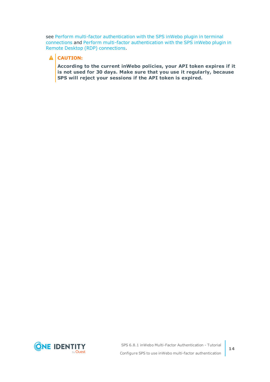see Perform multi-factor [authentication](#page-33-0) with the SPS inWebo plugin in terminal [connections](#page-33-0) and Perform multi-factor [authentication](#page-34-0) with the SPS inWebo plugin in Remote Desktop (RDP) [connections.](#page-34-0)

### **A** CAUTION:

**According to the current inWebo policies, your API token expires if it is not used for 30 days. Make sure that you use it regularly, because SPS will reject your sessions if the API token is expired.**

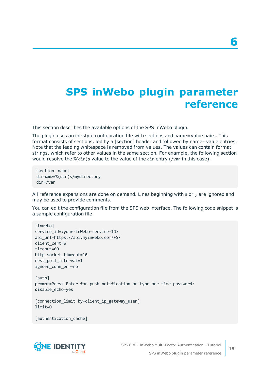## <span id="page-14-0"></span>**SPS inWebo plugin parameter reference**

This section describes the available options of the SPS inWebo plugin.

The plugin uses an ini-style configuration file with sections and name=value pairs. This format consists of sections, led by a [section] header and followed by name=value entries. Note that the leading whitespace is removed from values. The values can contain format strings, which refer to other values in the same section. For example, the following section would resolve the %(dir)s value to the value of the dir entry (/var in this case).

[section name] dirname=%(dir)s/mydirectory dir=/var

All reference expansions are done on demand. Lines beginning with # or ; are ignored and may be used to provide comments.

You can edit the configuration file from the SPS web interface. The following code snippet is a sample configuration file.

```
[inwebo]
service_id=<your-inWebo-service-ID>
api_url=https://api.myinwebo.com/FS/
client cert=$
timeout=60
http_socket_timeout=10
rest poll interval=1
ignore_conn_err=no
```
[auth] prompt=Press Enter for push notification or type one-time password: disable\_echo=yes

```
[connection_limit by=client_ip_gateway_user]
limit=0
```
[authentication\_cache]

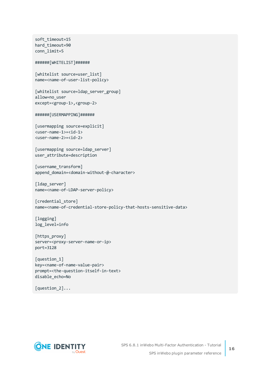```
soft_timeout=15
hard timeout=90
conn_limit=5
######[WHITELIST]######
[whitelist source=user list]
name=<name-of-user-list-policy>
[whitelist source=ldap server group]
allow=no_user
except=<group-1>,<group-2>
######[USERMAPPING]######
[usermapping source=explicit]
<user-name-1>=<id-1>
<user-name-2>=<id-2>
[usermapping source=ldap_server]
user attribute=description
[username_transform]
append domain=<domain-without-@-character>
[ldap_server]
name=<name-of-LDAP-server-policy>
[credential_store]
name=<name-of-credential-store-policy-that-hosts-sensitive-data>
[logging]
log_level=info
[https_proxy]
server=<proxy-server-name-or-ip>
port=3128
[question_1]
key=<name-of-name-value-pair>
prompt=<the-question-itself-in-text>
disable_echo=No
```
[question\_2]...

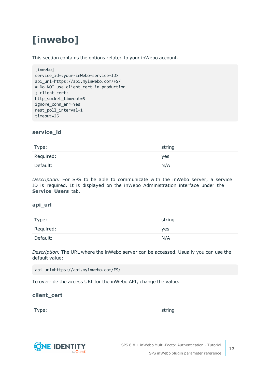# <span id="page-16-0"></span>**[inwebo]**

This section contains the options related to your inWebo account.

```
[inwebo]
service_id=<your-inWebo-service-ID>
api_url=https://api.myinwebo.com/FS/
# Do NOT use client cert in production
; client_cert:
http_socket_timeout=5
ignore conn err=Yes
rest_poll_interval=1
timeout=25
```
### **service\_id**

| Type:     | string |
|-----------|--------|
| Required: | yes    |
| Default:  | N/A    |

*Description:* For SPS to be able to communicate with the inWebo server, a service ID is required. It is displayed on the inWebo Administration interface under the **Service Users** tab.

### **api\_url**

| Type:     | string |
|-----------|--------|
| Required: | yes    |
| Default:  | N/A    |

*Description:* The URL where the inWebo server can be accessed. Usually you can use the default value:

api\_url=https://api.myinwebo.com/FS/

To override the access URL for the inWebo API, change the value.

### **client\_cert**

Type: which is a string string to the string string string in the string string  $\sim$ 



SPS 6.8.1 inWebo Multi-Factor Authentication - Tutorial SPS inWebo plugin parameter reference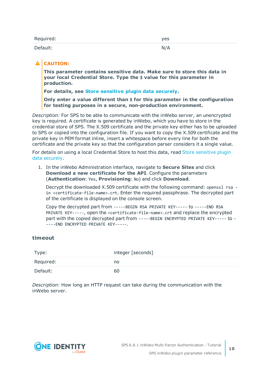| Required: | yes |
|-----------|-----|
| Default:  | N/A |

### **A** CAUTION:

**This parameter contains sensitive data. Make sure to store this data in your local Credential Store. Type the \$ value for this parameter in production.**

**For details, see Store [sensitive](#page-32-0) plugin data securely.**

**Only enter a value different than \$ for this parameter in the configuration for testing purposes in a secure, non-production environment.**

*Description:* For SPS to be able to communicate with the inWebo server, an unencrypted key is required. A certificate is generated by inWebo, which you have to store in the credential store of SPS. The X.509 certificate and the private key either has to be uploaded to SPS or copied into the configuration file. If you want to copy the X.509 certificate and the private key in PEM format inline, insert a whitespace before every line for both the certificate and the private key so that the configuration parser considers it a single value.

For details on using a local Credential Store to host this data, read Store [sensitive](#page-32-0) plugin data [securely](#page-32-0).

1. In the inWebo Administration interface, navigate to **Secure Sites** and click **Download a new certificate for the API**. Configure the parameters (**Authentication**: Yes, **Provisioning**: No) and click **Download**.

Decrypt the downloaded X.509 certificate with the following command: openssl rsa in <certificate-file-name>.crt. Enter the required passphrase. The decrypted part of the certificate is displayed on the console screen.

Copy the decrypted part from -----BEGIN RSA PRIVATE KEY----- to -----END RSA PRIVATE KEY-----, open the <certificate-file-name>.crt and replace the encrypted part with the copied decrypted part from -----BEGIN ENCRYPTED PRIVATE KEY----- to - ----END ENCRYPTED PRIVATE KEY-----.

### **timeout**

| Type:     | integer [seconds] |
|-----------|-------------------|
| Required: | no                |
| Default:  | 60                |

*Description:* How long an HTTP request can take during the communication with the inWebo server.

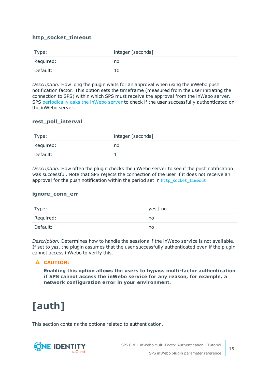### **http\_socket\_timeout**

| Type:     | integer [seconds] |
|-----------|-------------------|
| Required: | no                |
| Default:  | 10                |

*Description:* How long the plugin waits for an approval when using the inWebo push notification factor. This option sets the timeframe (measured from the user initiating the connection to SPS) within which SPS must receive the approval from the inWebo server. SPS [periodically](#page-14-0) asks the inWebo server to check if the user successfully authenticated on the inWebo server.

### **rest\_poll\_interval**

| Type:     | integer [seconds] |
|-----------|-------------------|
| Required: | no                |
| Default:  |                   |

*Description:* How often the plugin checks the inWebo server to see if the push notification was successful. Note that SPS rejects the connection of the user if it does not receive an approval for the push notification within the period set in [http\\_socket\\_timeout](#page-14-0).

### **ignore\_conn\_err**

| Type:     | yes   no |
|-----------|----------|
| Required: | no       |
| Default:  | no       |

*Description:* Determines how to handle the sessions if the inWebo service is not available. If set to yes, the plugin assumes that the user successfully authenticated even if the plugin cannot access inWebo to verify this.

### **A** CAUTION:

**Enabling this option allows the users to bypass multi-factor authentication if SPS cannot access the inWebo service for any reason, for example, a network configuration error in your environment.**

## <span id="page-18-0"></span>**[auth]**

This section contains the options related to authentication.

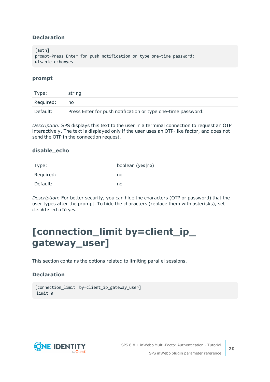### **Declaration**

[auth] prompt=Press Enter for push notification or type one-time password: disable\_echo=yes

### **prompt**

| Type:     | string                                                       |
|-----------|--------------------------------------------------------------|
| Required: | no                                                           |
| Default:  | Press Enter for push notification or type one-time password: |

*Description:* SPS displays this text to the user in a terminal connection to request an OTP interactively. The text is displayed only if the user uses an OTP-like factor, and does not send the OTP in the connection request.

### **disable\_echo**

| Type:     | boolean (yes no) |
|-----------|------------------|
| Required: | no               |
| Default:  | no               |

*Description:* For better security, you can hide the characters (OTP or password) that the user types after the prompt. To hide the characters (replace them with asterisks), set disable\_echo to yes.

## <span id="page-19-0"></span>**[connection\_limit by=client\_ip\_ gateway\_user]**

This section contains the options related to limiting parallel sessions.

### **Declaration**

```
[connection_limit by=client_ip_gateway_user]
limit=0
```
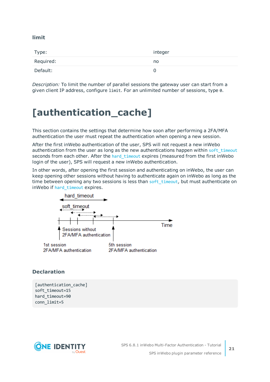### **limit**

| Type:     | integer |
|-----------|---------|
| Required: | no      |
| Default:  | O       |

*Description:* To limit the number of parallel sessions the gateway user can start from a given client IP address, configure limit. For an unlimited number of sessions, type 0.

## <span id="page-20-0"></span>**[authentication\_cache]**

This section contains the settings that determine how soon after performing a 2FA/MFA authentication the user must repeat the authentication when opening a new session.

After the first inWebo authentication of the user, SPS will not request a new inWebo authentication from the user as long as the new authentications happen within soft timeout seconds from each other. After the hard timeout expires (measured from the first inWebo login of the user), SPS will request a new inWebo authentication.

In other words, after opening the first session and authenticating on inWebo, the user can keep opening other sessions without having to authenticate again on inWebo as long as the time between opening any two sessions is less than soft timeout, but must authenticate on inWebo if hard timeout expires.



### **Declaration**

[authentication\_cache] soft\_timeout=15 hard timeout=90 conn\_limit=5

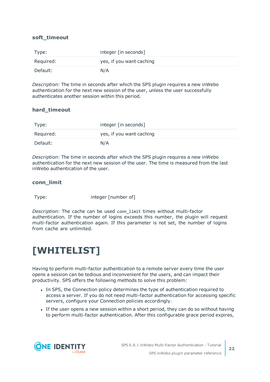### <span id="page-21-1"></span>**soft\_timeout**

| Type:     | integer [in seconds]     |
|-----------|--------------------------|
| Required: | yes, if you want caching |
| Default:  | N/A                      |

*Description:* The time in seconds after which the SPS plugin requires a new inWebo authentication for the next new session of the user, unless the user successfully authenticates another session within this period.

### <span id="page-21-2"></span>**hard\_timeout**

| Type:     | integer [in seconds]     |
|-----------|--------------------------|
| Required: | yes, if you want caching |
| Default:  | N/A                      |

*Description:* The time in seconds after which the SPS plugin requires a new inWebo authentication for the next new session of the user. The time is measured from the last inWebo authentication of the user.

### **conn\_limit**

Type: integer [number of]

*Description:* The cache can be used conn\_limit times without multi-factor authentication. If the number of logins exceeds this number, the plugin will request multi-factor authentication again. If this parameter is not set, the number of logins from cache are unlimited.

## <span id="page-21-0"></span>**[WHITELIST]**

Having to perform multi-factor authentication to a remote server every time the user opens a session can be tedious and inconvenient for the users, and can impact their productivity. SPS offers the following methods to solve this problem:

- In SPS, the Connection policy determines the type of authentication required to access a server. If you do not need multi-factor authentication for accessing specific servers, configure your Connection policies accordingly.
- If the user opens a new session within a short period, they can do so without having to perform multi-factor authentication. After this configurable grace period expires,

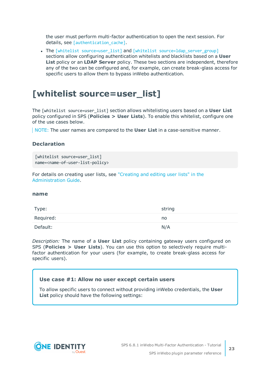the user must perform multi-factor authentication to open the next session. For details, see [authentication cache].

• The [whitelist [source=user\\_list\]](#page-22-0) and [whitelist [source=ldap\\_server\\_group\]](#page-23-0) sections allow configuring authentication whitelists and blacklists based on a **User List** policy or an **LDAP Server** policy. These two sections are independent, therefore any of the two can be configured and, for example, can create break-glass access for specific users to allow them to bypass inWebo authentication.

### <span id="page-22-0"></span>**[whitelist source=user\_list]**

The [whitelist source=user\_list] section allows whitelisting users based on a **User List** policy configured in SPS (**Policies > User Lists**). To enable this whitelist, configure one of the use cases below.

NOTE: The user names are compared to the **User List** in a case-sensitive manner.

### **Declaration**

```
[whitelist source=user list]
name=<name-of-user-list-policy>
```
For details on creating user lists, see ["Creating](https://support.oneidentity.com/technical-documents/safeguard-for-privileged-sessions/6.8.1/administration-guide/general-connection-settings/creating-and-editing-user-lists/) and editing user lists" in the [Administration](https://support.oneidentity.com/technical-documents/safeguard-for-privileged-sessions/6.8.1/administration-guide/general-connection-settings/creating-and-editing-user-lists/) Guide.

### <span id="page-22-1"></span>**name**

| Type:     | string |
|-----------|--------|
| Required: | no     |
| Default:  | N/A    |

*Description:* The name of a **User List** policy containing gateway users configured on SPS (**Policies > User Lists**). You can use this option to selectively require multifactor authentication for your users (for example, to create break-glass access for specific users).

### **Use case #1: Allow no user except certain users**

To allow specific users to connect without providing inWebo credentials, the **User List** policy should have the following settings:

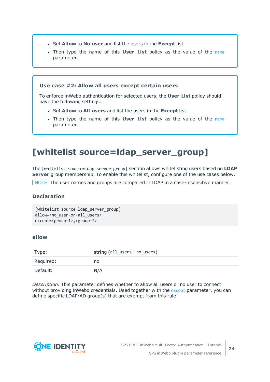- <sup>l</sup> Set **Allow** to **No user** and list the users in the **Except** list.
- **.** Then type the [name](#page-22-1) of this **User List** policy as the value of the name parameter.

### **Use case #2: Allow all users except certain users**

To enforce inWebo authentication for selected users, the **User List** policy should have the following settings:

- <sup>l</sup> Set **Allow** to **All users** and list the users in the **Except** list.
- <sup>l</sup> Then type the name of this **User List** policy as the value of the [name](#page-22-1) parameter.

### <span id="page-23-0"></span>**[whitelist source=ldap\_server\_group]**

The [whitelist source=ldap\_server\_group] section allows whitelisting users based on **LDAP Server** group membership. To enable this whitelist, configure one of the use cases below.

NOTE: The user names and groups are compared in LDAP in a case-insensitive manner.

### **Declaration**

```
[whitelist source=ldap_server_group]
allow=<no_user-or-all_users>
except=<group-1>,<group-2>
```
### <span id="page-23-1"></span>**allow**

| Type:     | string (all_users   no_users) |
|-----------|-------------------------------|
| Required: | no                            |
| Default:  | N/A                           |

*Description:* This parameter defines whether to allow all users or no user to connect without providing inWebo credentials. Used together with the [except](#page-24-1) parameter, you can define specific LDAP/AD group(s) that are exempt from this rule.

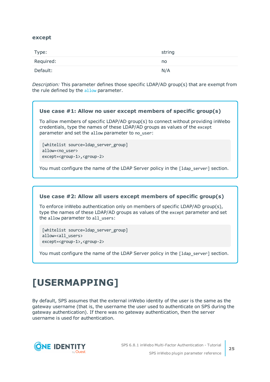### <span id="page-24-1"></span>**except**

| Type:     | string |
|-----------|--------|
| Required: | no     |
| Default:  | N/A    |

*Description:* This parameter defines those specific LDAP/AD group(s) that are exempt from the rule defined by the [allow](#page-23-1) parameter.

### **Use case #1: Allow no user except members of specific group(s)**

To allow members of specific LDAP/AD group(s) to connect without providing inWebo credentials, type the names of these LDAP/AD groups as values of the except parameter and set the allow parameter to no user:

```
[whitelist source=ldap server group]
allow=<no_user>
except=<group-1>,<group-2>
```
You must configure the name of the LDAP Server policy in the [1dap\_server] section.

### **Use case #2: Allow all users except members of specific group(s)**

To enforce inWebo authentication only on members of specific LDAP/AD group(s), type the names of these LDAP/AD groups as values of the except parameter and set the allow parameter to all users:

[whitelist source=ldap\_server\_group] allow=<all\_users> except=<group-1>,<group-2>

You must configure the name of the LDAP Server policy in the [1dap\_server] section.

## <span id="page-24-0"></span>**[USERMAPPING]**

By default, SPS assumes that the external inWebo identity of the user is the same as the gateway username (that is, the username the user used to authenticate on SPS during the gateway authentication). If there was no gateway authentication, then the server username is used for authentication.

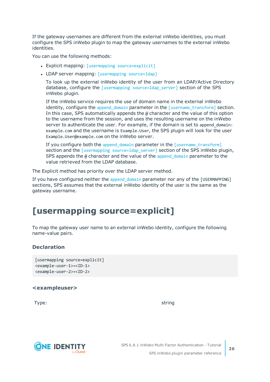If the gateway usernames are different from the external inWebo identities, you must configure the SPS inWebo plugin to map the gateway usernames to the external inWebo identities.

You can use the following methods:

- Explicit mapping: [usermapping [source=explicit\]](#page-25-0)
- LDAP server mapping: [\[usermapping](#page-26-0) source=ldap]

To look up the external inWebo identity of the user from an LDAP/Active Directory database, configure the [usermapping source=1dap server] section of the SPS inWebo plugin.

If the inWebo service requires the use of domain name in the external inWebo identity, configure the append domain parameter in the  $[username-transform]$  section. In this case, SPS automatically appends the @ character and the value of this option to the username from the session, and uses the resulting username on the inWebo server to authenticate the user. For example, if the domain is set to append domain: example.com and the username is Example.User, the SPS plugin will look for the user Example.User@example.com on the inWebo server.

If you configure both the append domain parameter in the [\[username\\_transform\]](#page-27-0) section and the [usermapping source=1dap\_server] section of the SPS inWebo plugin, SPS appends the  $\omega$  character and the value of the append domain parameter to the value retrieved from the LDAP database.

The Explicit method has priority over the LDAP server method.

If you have configured neither the append domain parameter nor any of the [USERMAPPING] sections, SPS assumes that the external inWebo identity of the user is the same as the gateway username.

### <span id="page-25-0"></span>**[usermapping source=explicit]**

To map the gateway user name to an external inWebo identity, configure the following name-value pairs.

### **Declaration**

```
[usermapping source=explicit]
<example-user-1>=<ID-1>
<example-user-2>=<ID-2>
```
### **<exampleuser>**

Type: which is a string string to the string string string in the string string  $\sim$ 

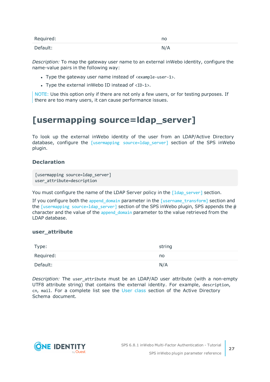| Required: | no  |
|-----------|-----|
| Default:  | N/A |

*Description:* To map the gateway user name to an external inWebo identity, configure the name-value pairs in the following way:

- Type the gateway user name instead of <example-user-1>.
- Type the external inWebo ID instead of  $\langle$ ID-1>.

NOTE: Use this option only if there are not only a few users, or for testing purposes. If there are too many users, it can cause performance issues.

### <span id="page-26-0"></span>**[usermapping source=ldap\_server]**

To look up the external inWebo identity of the user from an LDAP/Active Directory database, configure the  $[usermapping\; source=1$ dap server] section of the SPS inWebo plugin.

### **Declaration**

[usermapping source=ldap server] user attribute=description

You must configure the name of the LDAP Server policy in the [\[ldap\\_server\]](#page-27-1) section.

If you configure both the [append\\_domain](#page-27-2) parameter in the [\[username\\_transform\]](#page-27-0) section and the [usermapping source=1dap\_server] section of the SPS inWebo plugin, SPS appends the  $\omega$ character and the value of the append domain parameter to the value retrieved from the LDAP database.

### **user\_attribute**

| Type:     | string |
|-----------|--------|
| Required: | no     |
| Default:  | N/A    |

*Description:* The user attribute must be an LDAP/AD user attribute (with a non-empty UTF8 attribute string) that contains the external identity. For example, description, cn, mail. For a complete list see the User [class](https://docs.microsoft.com/en-gb/windows/desktop/ADSchema/c-user) section of the Active Directory Schema document.

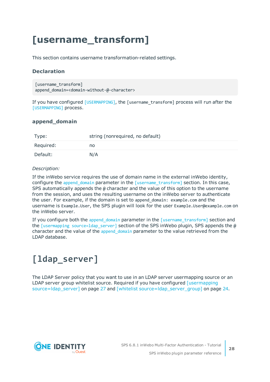## <span id="page-27-0"></span>**[username\_transform]**

This section contains username transformation-related settings.

### **Declaration**

```
[username_transform]
append domain=<domain-without-@-character>
```
If you have configured [\[USERMAPPING\]](#page-24-0), the [username\_transform] process will run after the [\[USERMAPPING\]](#page-24-0) process.

### <span id="page-27-2"></span>**append\_domain**

| Type:     | string (nonrequired, no default) |  |
|-----------|----------------------------------|--|
| Required: | no                               |  |
| Default:  | N/A                              |  |

### *Description:*

If the inWebo service requires the use of domain name in the external inWebo identity, configure the append domain parameter in the [\[username\\_transform\]](#page-27-0) section. In this case, SPS automatically appends the  $\omega$  character and the value of this option to the username from the session, and uses the resulting username on the inWebo server to authenticate the user. For example, if the domain is set to append\_domain: example.com and the username is Example.User, the SPS plugin will look for the user Example.User@example.com on the inWebo server.

If you configure both the append domain parameter in the  $[$ username transform $]$  section and the [usermapping [source=ldap\\_server\]](#page-26-0) section of the SPS inWebo plugin, SPS appends the @ character and the value of the append domain parameter to the value retrieved from the LDAP database.

## <span id="page-27-1"></span>**[ldap\_server]**

The LDAP Server policy that you want to use in an LDAP server usermapping source or an LDAP server group whitelist source. Required if you have configured [\[usermapping](#page-26-0) [source=ldap\\_server\]](#page-26-0) on page 27 and [whitelist [source=ldap\\_server\\_group\]](#page-23-0) on page 24.

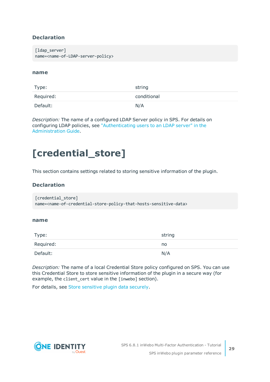### **Declaration**

```
[ldap server]
name=<name-of-LDAP-server-policy>
```
### **name**

| Type:     | string      |
|-----------|-------------|
| Required: | conditional |
| Default:  | N/A         |

*Description:* The name of a configured LDAP Server policy in SPS. For details on configuring LDAP policies, see ["Authenticating](https://support.oneidentity.com/technical-documents/safeguard-for-privileged-sessions/6.8.1/administration-guide/general-connection-settings/authenticating-users-to-an-ldap-server/) users to an LDAP server" in the [Administration](https://support.oneidentity.com/technical-documents/safeguard-for-privileged-sessions/6.8.1/administration-guide/general-connection-settings/authenticating-users-to-an-ldap-server/) Guide.

## <span id="page-28-0"></span>**[credential\_store]**

This section contains settings related to storing sensitive information of the plugin.

### **Declaration**

```
[credential_store]
name=<name-of-credential-store-policy-that-hosts-sensitive-data>
```
### <span id="page-28-1"></span>**name**

| Type:     | string |
|-----------|--------|
| Required: | no     |
| Default:  | N/A    |

*Description:* The name of a local Credential Store policy configured on SPS. You can use this Credential Store to store sensitive information of the plugin in a secure way (for example, the client\_cert value in the [inwebo] section).

For details, see Store [sensitive](#page-32-0) plugin data securely.

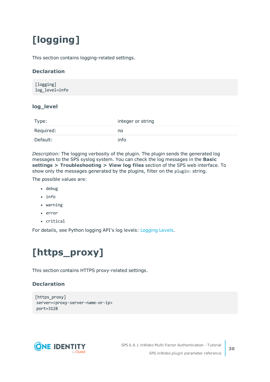# <span id="page-29-0"></span>**[logging]**

This section contains logging-related settings.

### **Declaration**

```
[logging]
log_level=info
```
### **log\_level**

| Type:     | integer or string |
|-----------|-------------------|
| Required: | no                |
| Default:  | info              |

*Description:* The logging verbosity of the plugin. The plugin sends the generated log messages to the SPS syslog system. You can check the log messages in the **Basic settings > Troubleshooting > View log files** section of the SPS web interface. To show only the messages generated by the plugins, filter on the plugin: string.

The possible values are:

- $\cdot$  debug
- $\cdot$  info
- $\bullet$  warning
- $\cdot$  error
- critical

<span id="page-29-1"></span>For details, see Python logging API's log levels: [Logging](https://docs.python.org/2/library/logging.html#logging-levels) Levels.

# **[https\_proxy]**

This section contains HTTPS proxy-related settings.

### **Declaration**

```
[https_proxy]
server=<proxy-server-name-or-ip>
port=3128
```
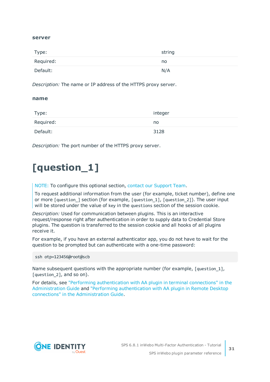### **server**

| Type:     | string |
|-----------|--------|
| Required: | no     |
| Default:  | N/A    |

*Description:* The name or IP address of the HTTPS proxy server.

### **name**

| Type:     | integer |
|-----------|---------|
| Required: | no      |
| Default:  | 3128    |

<span id="page-30-0"></span>*Description:* The port number of the HTTPS proxy server.

# **[question\_1]**

NOTE: To configure this optional section, contact our [Support](https://support.oneidentity.com/one-identity-safeguard-for-privileged-sessions) Team.

To request additional information from the user (for example, ticket number), define one or more [question\_] section (for example, [question\_1], [question\_2]). The user input will be stored under the value of key in the questions section of the session cookie.

*Description:* Used for communication between plugins. This is an interactive request/response right after authentication in order to supply data to Credential Store plugins. The question is transferred to the session cookie and all hooks of all plugins receive it.

For example, if you have an external authenticator app, you do not have to wait for the question to be prompted but can authenticate with a one-time password:

ssh otp=123456@root@scb

Name subsequent questions with the appropriate number (for example, [question\_1], [question 2], and so on).

For details, see "Performing [authentication](https://support.oneidentity.com/technical-documents/safeguard-for-privileged-sessions/6.8.1/administration-guide/advanced-authentication-and-authorization-techniques/integrating-external-authentication-and-authorization-systems/performing-authentication-with-aa-plugin-in-terminal-connections/) with AA plugin in terminal connections" in the [Administration](https://support.oneidentity.com/technical-documents/safeguard-for-privileged-sessions/6.8.1/administration-guide/advanced-authentication-and-authorization-techniques/integrating-external-authentication-and-authorization-systems/performing-authentication-with-aa-plugin-in-terminal-connections/) Guide and "Performing [authentication](https://support.oneidentity.com/technical-documents/safeguard-for-privileged-sessions/6.8.1/administration-guide/advanced-authentication-and-authorization-techniques/integrating-external-authentication-and-authorization-systems/performing-authentication-with-aa-plugin-in-remote-desktop-connections/) with AA plugin in Remote Desktop connections" in the [Administration](https://support.oneidentity.com/technical-documents/safeguard-for-privileged-sessions/6.8.1/administration-guide/advanced-authentication-and-authorization-techniques/integrating-external-authentication-and-authorization-systems/performing-authentication-with-aa-plugin-in-remote-desktop-connections/) Guide.



**31**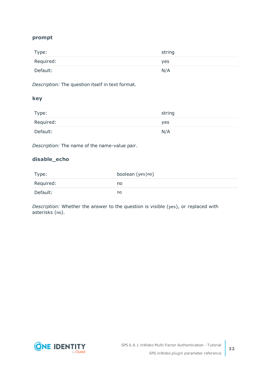### **prompt**

| Type:     | string |
|-----------|--------|
| Required: | yes    |
| Default:  | N/A    |

*Description:* The question itself in text format.

### **key**

| Type:     | string |
|-----------|--------|
| Required: | yes    |
| Default:  | N/A    |

*Description:* The name of the name-value pair.

### **disable\_echo**

| Type:     | boolean (yes   no) |
|-----------|--------------------|
| Required: | no                 |
| Default:  | no                 |

*Description:* Whether the answer to the question is visible (yes), or replaced with asterisks (no).

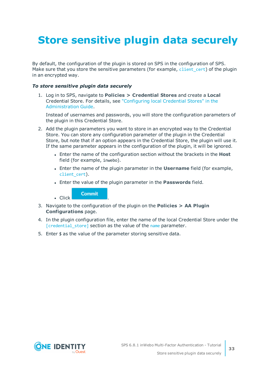# <span id="page-32-0"></span>**Store sensitive plugin data securely**

By default, the configuration of the plugin is stored on SPS in the configuration of SPS. Make sure that you store the sensitive parameters (for example, [client\\_cert](#page-14-0)) of the plugin in an encrypted way.

### *To store sensitive plugin data securely*

1. Log in to SPS, navigate to **Policies > Credential Stores** and create a **Local** Credential Store. For details, see ["Configuring](https://support.oneidentity.com/technical-documents/safeguard-for-privileged-sessions/6.8.1/administration-guide/advanced-authentication-and-authorization-techniques/using-credential-stores-for-server-side-authentication/configuring-local-credential-stores/) local Credential Stores" in the [Administration](https://support.oneidentity.com/technical-documents/safeguard-for-privileged-sessions/6.8.1/administration-guide/advanced-authentication-and-authorization-techniques/using-credential-stores-for-server-side-authentication/configuring-local-credential-stores/) Guide.

Instead of usernames and passwords, you will store the configuration parameters of the plugin in this Credential Store.

- 2. Add the plugin parameters you want to store in an encrypted way to the Credential Store. You can store any configuration parameter of the plugin in the Credential Store, but note that if an option appears in the Credential Store, the plugin will use it. If the same parameter appears in the configuration of the plugin, it will be ignored.
	- **Enter the name of the configuration section without the brackets in the Host** field (for example, inwebo).
	- <sup>l</sup> Enter the name of the plugin parameter in the **Username** field (for example, client cert).
	- <sup>l</sup> Enter the value of the plugin parameter in the **Passwords** field.

**Commit**  $\blacksquare$  Click

- 3. Navigate to the configuration of the plugin on the **Policies > AA Plugin Configurations** page.
- 4. In the plugin configuration file, enter the name of the local Credential Store under the [\[credential\\_store\]](#page-28-0) section as the value of the [name](#page-28-1) parameter.
- 5. Enter  $$$  as the value of the parameter storing sensitive data.

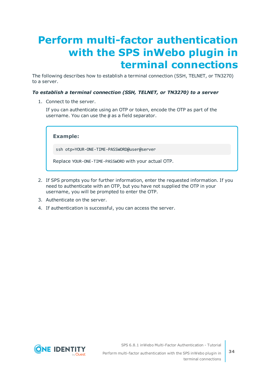# <span id="page-33-0"></span>**Perform multi-factor authentication with the SPS inWebo plugin in terminal connections**

The following describes how to establish a terminal connection (SSH, TELNET, or TN3270) to a server.

### *To establish a terminal connection (SSH, TELNET, or TN3270) to a server*

1. Connect to the server.

If you can authenticate using an OTP or token, encode the OTP as part of the username. You can use the @ as a field separator.

**Example:**

ssh otp=YOUR-ONE-TIME-PASSWORD@user@server

Replace YOUR-ONE-TIME-PASSWORD with your actual OTP.

- 2. If SPS prompts you for further information, enter the requested information. If you need to authenticate with an OTP, but you have not supplied the OTP in your username, you will be prompted to enter the OTP.
- 3. Authenticate on the server.
- 4. If authentication is successful, you can access the server.

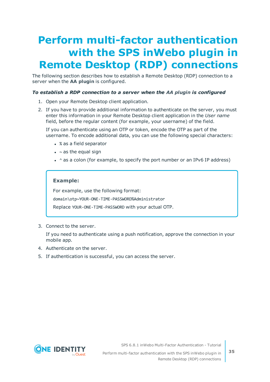# <span id="page-34-0"></span>**Perform multi-factor authentication with the SPS inWebo plugin in Remote Desktop (RDP) connections**

The following section describes how to establish a Remote Desktop (RDP) connection to a server when the **AA plugin** is configured.

### *To establish a RDP connection to a server when the AA plugin is configured*

- 1. Open your Remote Desktop client application.
- 2. If you have to provide additional information to authenticate on the server, you must enter this information in your Remote Desktop client application in the *User name* field, before the regular content (for example, your username) of the field.

If you can authenticate using an OTP or token, encode the OTP as part of the username. To encode additional data, you can use the following special characters:

- % as a field separator
- $\bullet$  ~ as the equal sign
- $\cdot$  ^ as a colon (for example, to specify the port number or an IPv6 IP address)

### **Example:**

For example, use the following format:

domain\otp~YOUR-ONE-TIME-PASSWORD%Administrator

Replace YOUR-ONE-TIME-PASSWORD with your actual OTP.

3. Connect to the server.

If you need to authenticate using a push notification, approve the connection in your mobile app.

- 4. Authenticate on the server.
- 5. If authentication is successful, you can access the server.



SPS 6.8.1 inWebo Multi-Factor Authentication - Tutorial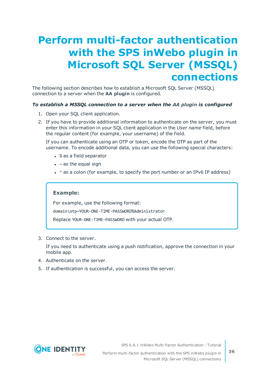# <span id="page-35-0"></span>**Perform multi-factor authentication with the SPS inWebo plugin in Microsoft SQL Server (MSSQL) connections**

The following section describes how to establish a Microsoft SQL Server (MSSQL) connection to a server when the **AA plugin** is configured.

### *To establish a MSSQL connection to a server when the AA plugin is configured*

- 1. Open your SQL client application.
- 2. If you have to provide additional information to authenticate on the server, you must enter this information in your SQL client application in the *User name* field, before the regular content (for example, your username) of the field.

If you can authenticate using an OTP or token, encode the OTP as part of the username. To encode additional data, you can use the following special characters:

- % as a field separator
- $\bullet$  ~ as the equal sign
- $\cdot$  ^ as a colon (for example, to specify the port number or an IPv6 IP address)

### **Example:**

For example, use the following format: domain\otp~YOUR-ONE-TIME-PASSWORD%Administrator

Replace YOUR-ONE-TIME-PASSWORD with your actual OTP.

3. Connect to the server.

If you need to authenticate using a push notification, approve the connection in your mobile app.

- 4. Authenticate on the server.
- 5. If authentication is successful, you can access the server.



SPS 6.8.1 inWebo Multi-Factor Authentication - Tutorial